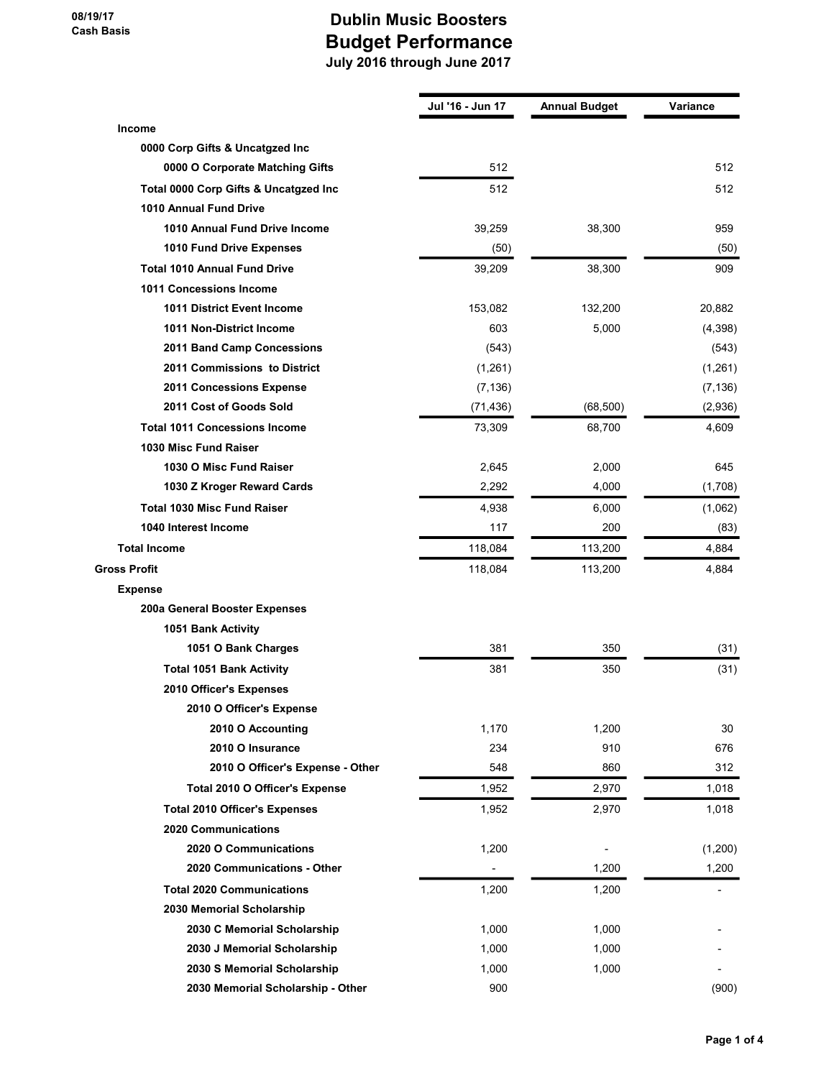|                                       | Jul '16 - Jun 17 | <b>Annual Budget</b> | <b>Variance</b> |
|---------------------------------------|------------------|----------------------|-----------------|
| <b>Income</b>                         |                  |                      |                 |
| 0000 Corp Gifts & Uncatgzed Inc       |                  |                      |                 |
| 0000 O Corporate Matching Gifts       | 512              |                      | 512             |
| Total 0000 Corp Gifts & Uncatgzed Inc | 512              |                      | 512             |
| <b>1010 Annual Fund Drive</b>         |                  |                      |                 |
| 1010 Annual Fund Drive Income         | 39,259           | 38,300               | 959             |
| 1010 Fund Drive Expenses              | (50)             |                      | (50)            |
| <b>Total 1010 Annual Fund Drive</b>   | 39,209           | 38,300               | 909             |
| 1011 Concessions Income               |                  |                      |                 |
| 1011 District Event Income            | 153,082          | 132,200              | 20,882          |
| 1011 Non-District Income              | 603              | 5,000                | (4,398)         |
| 2011 Band Camp Concessions            | (543)            |                      | (543)           |
| 2011 Commissions to District          | (1,261)          |                      | (1,261)         |
| 2011 Concessions Expense              | (7, 136)         |                      | (7, 136)        |
| 2011 Cost of Goods Sold               | (71, 436)        | (68, 500)            | (2,936)         |
| <b>Total 1011 Concessions Income</b>  | 73,309           | 68,700               | 4,609           |
| 1030 Misc Fund Raiser                 |                  |                      |                 |
| 1030 O Misc Fund Raiser               | 2,645            | 2,000                | 645             |
| 1030 Z Kroger Reward Cards            | 2,292            | 4,000                | (1,708)         |
| <b>Total 1030 Misc Fund Raiser</b>    | 4,938            | 6,000                | (1,062)         |
| 1040 Interest Income                  | 117              | 200                  | (83)            |
| <b>Total Income</b>                   | 118,084          | 113,200              | 4,884           |
| <b>Gross Profit</b>                   | 118,084          | 113,200              | 4,884           |
| <b>Expense</b>                        |                  |                      |                 |
| 200a General Booster Expenses         |                  |                      |                 |
| 1051 Bank Activity                    |                  |                      |                 |
| 1051 O Bank Charges                   | 381              | 350                  | (31)            |
| <b>Total 1051 Bank Activity</b>       | 381              | 350                  | (31)            |
| 2010 Officer's Expenses               |                  |                      |                 |
| 2010 O Officer's Expense              |                  |                      |                 |
| 2010 O Accounting                     | 1,170            | 1,200                | 30              |
| 2010 O Insurance                      | 234              | 910                  | 676             |
| 2010 O Officer's Expense - Other      | 548              | 860                  | 312             |
| Total 2010 O Officer's Expense        | 1,952            | 2,970                | 1,018           |
| <b>Total 2010 Officer's Expenses</b>  | 1,952            | 2,970                | 1,018           |
| <b>2020 Communications</b>            |                  |                      |                 |
| 2020 O Communications                 | 1,200            |                      | (1,200)         |
| 2020 Communications - Other           |                  | 1,200                | 1,200           |
| <b>Total 2020 Communications</b>      | 1,200            | 1,200                |                 |
| 2030 Memorial Scholarship             |                  |                      |                 |
| 2030 C Memorial Scholarship           | 1,000            | 1,000                |                 |
| 2030 J Memorial Scholarship           | 1,000            | 1,000                |                 |
| 2030 S Memorial Scholarship           | 1,000            | 1,000                |                 |
| 2030 Memorial Scholarship - Other     | 900              |                      | (900)           |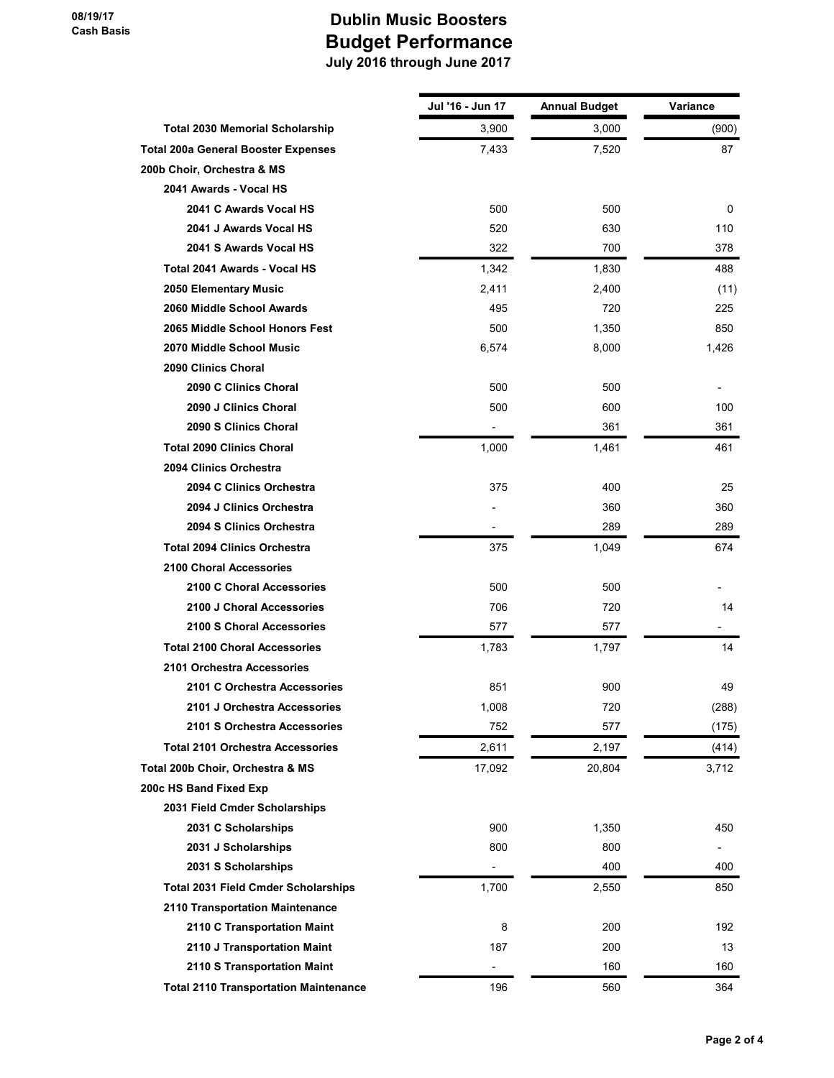08/19/17 Cash Basis

|                                              | Jul '16 - Jun 17 | <b>Annual Budget</b> | <b>Variance</b>          |
|----------------------------------------------|------------------|----------------------|--------------------------|
| <b>Total 2030 Memorial Scholarship</b>       | 3,900            | 3,000                | (900)                    |
| <b>Total 200a General Booster Expenses</b>   | 7,433            | 7,520                | 87                       |
| 200b Choir, Orchestra & MS                   |                  |                      |                          |
| 2041 Awards - Vocal HS                       |                  |                      |                          |
| 2041 C Awards Vocal HS                       | 500              | 500                  | 0                        |
| 2041 J Awards Vocal HS                       | 520              | 630                  | 110                      |
| 2041 S Awards Vocal HS                       | 322              | 700                  | 378                      |
| <b>Total 2041 Awards - Vocal HS</b>          | 1,342            | 1,830                | 488                      |
| 2050 Elementary Music                        | 2,411            | 2,400                | (11)                     |
| 2060 Middle School Awards                    | 495              | 720                  | 225                      |
| 2065 Middle School Honors Fest               | 500              | 1,350                | 850                      |
| 2070 Middle School Music                     | 6,574            | 8,000                | 1,426                    |
| 2090 Clinics Choral                          |                  |                      |                          |
| 2090 C Clinics Choral                        | 500              | 500                  |                          |
| 2090 J Clinics Choral                        | 500              | 600                  | 100                      |
| 2090 S Clinics Choral                        |                  | 361                  | 361                      |
| <b>Total 2090 Clinics Choral</b>             | 1,000            | 1,461                | 461                      |
| 2094 Clinics Orchestra                       |                  |                      |                          |
| 2094 C Clinics Orchestra                     | 375              | 400                  | 25                       |
| 2094 J Clinics Orchestra                     |                  | 360                  | 360                      |
| 2094 S Clinics Orchestra                     |                  | 289                  | 289                      |
| <b>Total 2094 Clinics Orchestra</b>          | 375              | 1,049                | 674                      |
| <b>2100 Choral Accessories</b>               |                  |                      |                          |
| 2100 C Choral Accessories                    | 500              | 500                  |                          |
| 2100 J Choral Accessories                    | 706              | 720                  | 14                       |
| 2100 S Choral Accessories                    | 577              | 577                  | $\overline{a}$           |
| <b>Total 2100 Choral Accessories</b>         | 1.783            | 1.797                | 14                       |
| 2101 Orchestra Accessories                   |                  |                      |                          |
| 2101 C Orchestra Accessories                 | 851              | 900                  | 49                       |
| 2101 J Orchestra Accessories                 | 1,008            | 720                  | (288)                    |
| 2101 S Orchestra Accessories                 | 752              | 577                  | (175)                    |
| <b>Total 2101 Orchestra Accessories</b>      | 2,611            | 2,197                | (414)                    |
| Total 200b Choir, Orchestra & MS             | 17,092           | 20,804               | 3,712                    |
| 200c HS Band Fixed Exp                       |                  |                      |                          |
| 2031 Field Cmder Scholarships                |                  |                      |                          |
| 2031 C Scholarships                          | 900              | 1,350                | 450                      |
| 2031 J Scholarships                          | 800              | 800                  | $\overline{\phantom{a}}$ |
| 2031 S Scholarships                          |                  | 400                  | 400                      |
| <b>Total 2031 Field Cmder Scholarships</b>   | 1,700            | 2,550                | 850                      |
| 2110 Transportation Maintenance              |                  |                      |                          |
| 2110 C Transportation Maint                  | 8                | 200                  | 192                      |
| 2110 J Transportation Maint                  | 187              | 200                  | 13                       |
| 2110 S Transportation Maint                  | $\blacksquare$   | 160                  | 160                      |
| <b>Total 2110 Transportation Maintenance</b> | 196              | 560                  | 364                      |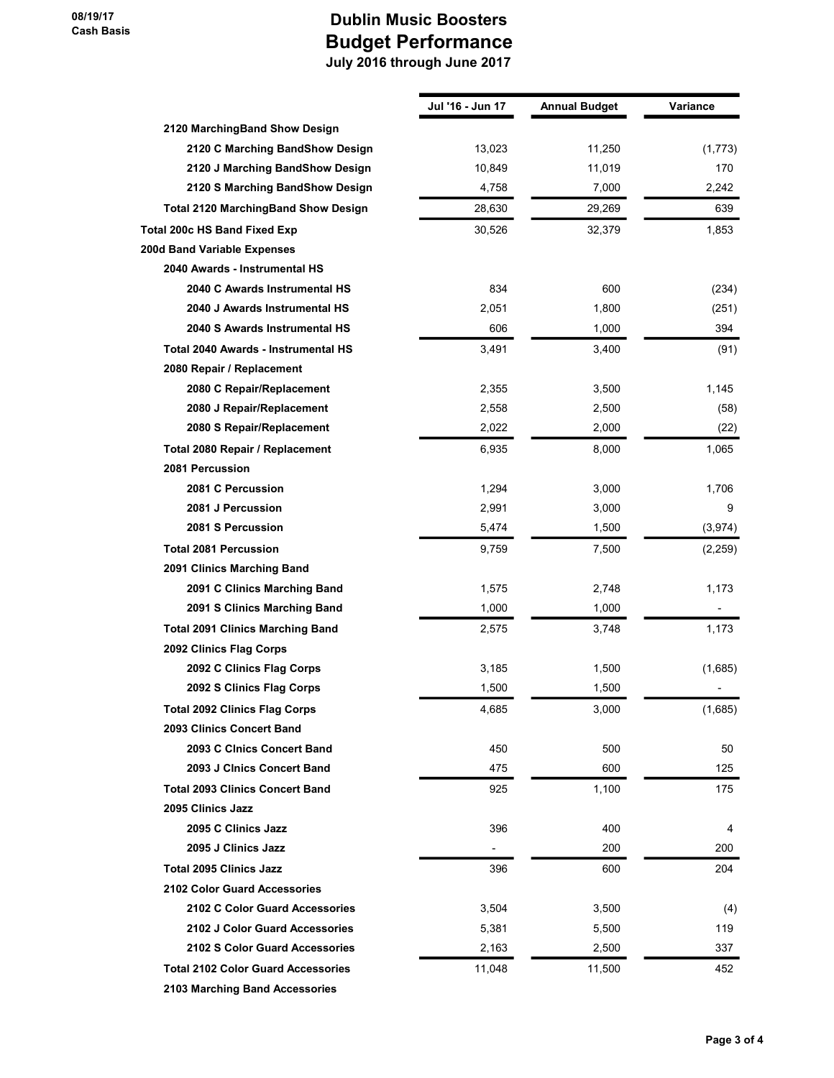|                                            | Jul '16 - Jun 17 | <b>Annual Budget</b> | Variance |
|--------------------------------------------|------------------|----------------------|----------|
| 2120 MarchingBand Show Design              |                  |                      |          |
| 2120 C Marching BandShow Design            | 13,023           | 11,250               | (1,773)  |
| 2120 J Marching BandShow Design            | 10,849           | 11,019               | 170      |
| 2120 S Marching BandShow Design            | 4,758            | 7,000                | 2,242    |
| <b>Total 2120 MarchingBand Show Design</b> | 28,630           | 29,269               | 639      |
| Total 200c HS Band Fixed Exp               | 30,526           | 32,379               | 1,853    |
| 200d Band Variable Expenses                |                  |                      |          |
| 2040 Awards - Instrumental HS              |                  |                      |          |
| 2040 C Awards Instrumental HS              | 834              | 600                  | (234)    |
| 2040 J Awards Instrumental HS              | 2,051            | 1,800                | (251)    |
| 2040 S Awards Instrumental HS              | 606              | 1,000                | 394      |
| Total 2040 Awards - Instrumental HS        | 3,491            | 3,400                | (91)     |
| 2080 Repair / Replacement                  |                  |                      |          |
| 2080 C Repair/Replacement                  | 2,355            | 3,500                | 1,145    |
| 2080 J Repair/Replacement                  | 2,558            | 2,500                | (58)     |
| 2080 S Repair/Replacement                  | 2,022            | 2,000                | (22)     |
| Total 2080 Repair / Replacement            | 6,935            | 8,000                | 1,065    |
| 2081 Percussion                            |                  |                      |          |
| 2081 C Percussion                          | 1,294            | 3,000                | 1,706    |
| 2081 J Percussion                          | 2,991            | 3,000                | 9        |
| 2081 S Percussion                          | 5,474            | 1,500                | (3,974)  |
| <b>Total 2081 Percussion</b>               | 9,759            | 7,500                | (2,259)  |
| 2091 Clinics Marching Band                 |                  |                      |          |
| 2091 C Clinics Marching Band               | 1,575            | 2,748                | 1,173    |
| 2091 S Clinics Marching Band               | 1,000            | 1,000                |          |
| <b>Total 2091 Clinics Marching Band</b>    | 2,575            | 3,748                | 1,173    |
| 2092 Clinics Flag Corps                    |                  |                      |          |
| 2092 C Clinics Flag Corps                  | 3,185            | 1,500                | (1,685)  |
| 2092 S Clinics Flag Corps                  | 1,500            | 1,500                |          |
| <b>Total 2092 Clinics Flag Corps</b>       | 4,685            | 3,000                | (1,685)  |
| 2093 Clinics Concert Band                  |                  |                      |          |
| 2093 C Cinics Concert Band                 | 450              | 500                  | 50       |
| 2093 J Cinics Concert Band                 | 475              | 600                  | 125      |
| <b>Total 2093 Clinics Concert Band</b>     | 925              | 1,100                | 175      |
| 2095 Clinics Jazz                          |                  |                      |          |
| 2095 C Clinics Jazz                        | 396              | 400                  | 4        |
| 2095 J Clinics Jazz                        |                  | 200                  | 200      |
| <b>Total 2095 Clinics Jazz</b>             | 396              | 600                  | 204      |
| 2102 Color Guard Accessories               |                  |                      |          |
| 2102 C Color Guard Accessories             | 3,504            | 3,500                | (4)      |
| 2102 J Color Guard Accessories             | 5,381            | 5,500                | 119      |
| 2102 S Color Guard Accessories             | 2,163            | 2,500                | 337      |
| <b>Total 2102 Color Guard Accessories</b>  | 11,048           | 11,500               | 452      |
| 2103 Marching Band Accessories             |                  |                      |          |